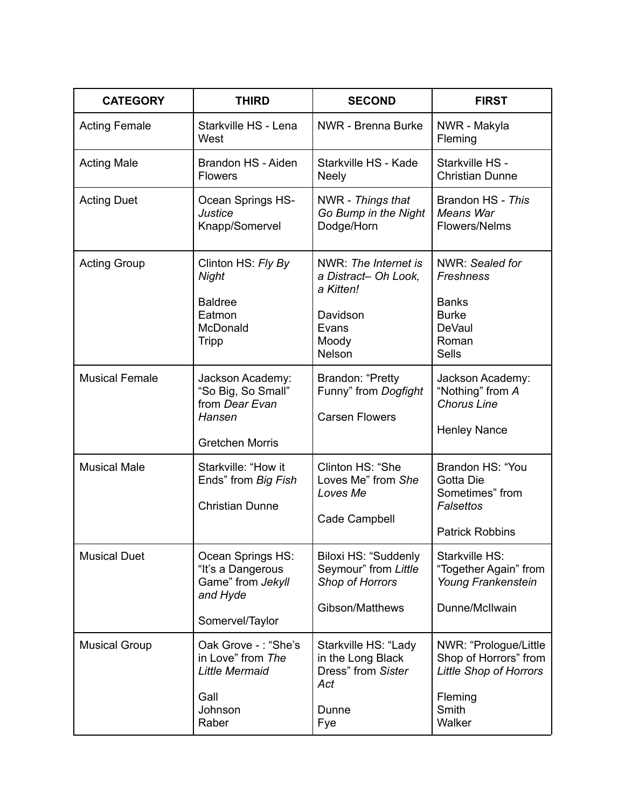| <b>CATEGORY</b>       | <b>THIRD</b>                                                                                 | <b>SECOND</b>                                                                                            | <b>FIRST</b>                                                                                                  |
|-----------------------|----------------------------------------------------------------------------------------------|----------------------------------------------------------------------------------------------------------|---------------------------------------------------------------------------------------------------------------|
| <b>Acting Female</b>  | Starkville HS - Lena<br>West                                                                 | NWR - Brenna Burke                                                                                       | NWR - Makyla<br>Fleming                                                                                       |
| <b>Acting Male</b>    | Brandon HS - Aiden<br><b>Flowers</b>                                                         | Starkville HS - Kade<br><b>Neely</b>                                                                     | Starkville HS -<br><b>Christian Dunne</b>                                                                     |
| <b>Acting Duet</b>    | Ocean Springs HS-<br><b>Justice</b><br>Knapp/Somervel                                        | NWR - Things that<br>Go Bump in the Night<br>Dodge/Horn                                                  | Brandon HS - This<br><b>Means War</b><br>Flowers/Nelms                                                        |
| <b>Acting Group</b>   | Clinton HS: Fly By<br><b>Night</b><br><b>Baldree</b><br>Eatmon<br>McDonald<br>Tripp          | NWR: The Internet is<br>a Distract- Oh Look,<br>a Kitten!<br>Davidson<br>Evans<br>Moody<br><b>Nelson</b> | NWR: Sealed for<br>Freshness<br><b>Banks</b><br><b>Burke</b><br><b>DeVaul</b><br>Roman<br><b>Sells</b>        |
| <b>Musical Female</b> | Jackson Academy:<br>"So Big, So Small"<br>from Dear Evan<br>Hansen<br><b>Gretchen Morris</b> | Brandon: "Pretty<br>Funny" from Dogfight<br><b>Carsen Flowers</b>                                        | Jackson Academy:<br>"Nothing" from A<br><b>Chorus Line</b><br><b>Henley Nance</b>                             |
| <b>Musical Male</b>   | Starkville: "How it<br>Ends" from Big Fish<br><b>Christian Dunne</b>                         | Clinton HS: "She<br>Loves Me" from She<br>Loves Me<br>Cade Campbell                                      | Brandon HS: "You<br>Gotta Die<br>Sometimes" from<br>Falsettos<br><b>Patrick Robbins</b>                       |
| <b>Musical Duet</b>   | Ocean Springs HS:<br>"It's a Dangerous<br>Game" from Jekyll<br>and Hyde<br>Somervel/Taylor   | Biloxi HS: "Suddenly<br>Seymour" from Little<br>Shop of Horrors<br>Gibson/Matthews                       | Starkville HS:<br>"Together Again" from<br>Young Frankenstein<br>Dunne/McIlwain                               |
| <b>Musical Group</b>  | Oak Grove -: "She's<br>in Love" from The<br>Little Mermaid<br>Gall<br>Johnson<br>Raber       | Starkville HS: "Lady<br>in the Long Black<br>Dress" from Sister<br>Act<br>Dunne<br>Fye                   | NWR: "Prologue/Little<br>Shop of Horrors" from<br><b>Little Shop of Horrors</b><br>Fleming<br>Smith<br>Walker |